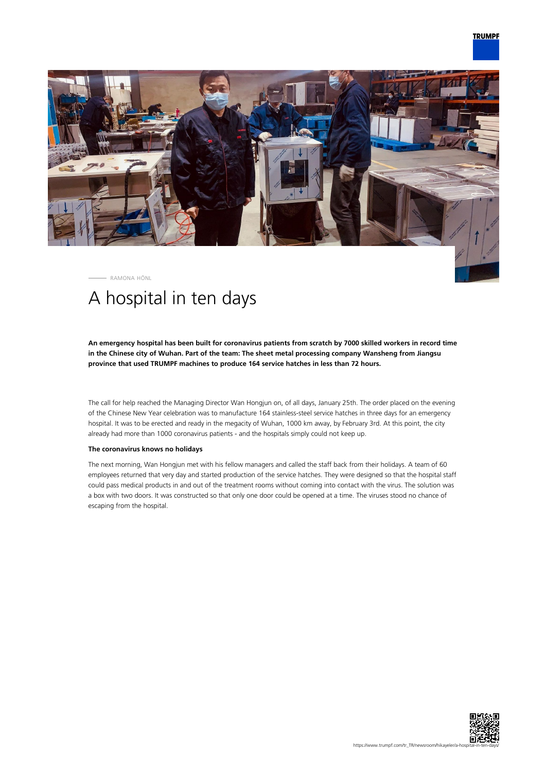

RAMONA HÖNL

## A hospital in ten days

**An emergency hospital has been built for coronavirus patients from scratch by 7000 skilled workers in record time in the Chinese city of Wuhan. Part of the team: The sheet metal processing company Wansheng from Jiangsu province that used TRUMPF machines to produce 164 service hatches in less than 72 hours.**

The call for help reached the Managing Director Wan Hongjun on, of all days, January 25th. The order placed on the evening of the Chinese New Year celebration was to manufacture 164 stainless-steel service hatches in three days for an emergency hospital. It was to be erected and ready in the megacity of Wuhan, 1000 km away, by February 3rd. At this point, the city already had more than 1000 coronavirus patients - and the hospitals simply could not keep up.

## **The coronavirus knows no holidays**

The next morning, Wan Hongjun met with his fellow managers and called the staff back from their holidays. A team of 60 employees returned that very day and started production of the service hatches. They were designed so that the hospital staff could pass medical products in and out of the treatment rooms without coming into contact with the virus. The solution was a box with two doors. It was constructed so that only one door could be opened at a time. The viruses stood no chance of escaping from the hospital.

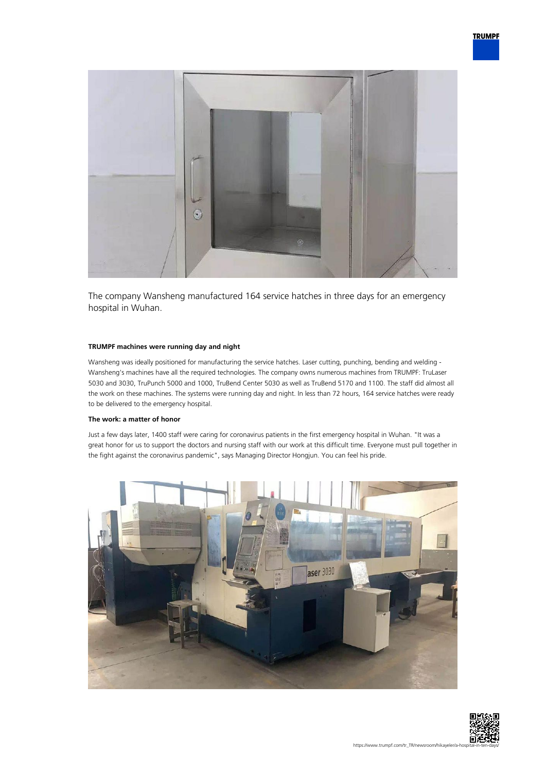

The company Wansheng manufactured 164 service hatches in three days for an emergency hospital in Wuhan.

## **TRUMPF machines were running day and night**

Wansheng was ideally positioned for manufacturing the service hatches. Laser cutting, punching, bending and welding - Wansheng's machines have all the required technologies. The company owns numerous machines from TRUMPF: TruLaser 5030 and 3030, TruPunch 5000 and 1000, TruBend Center 5030 as well as TruBend 5170 and 1100. The staff did almost all the work on these machines. The systems were running day and night. In less than 72 hours, 164 service hatches were ready to be delivered to the emergency hospital.

## **The work: a matter of honor**

Just a few days later, 1400 staff were caring for coronavirus patients in the first emergency hospital in Wuhan. "It was a great honor for us to support the doctors and nursing staff with our work at this difficult time. Everyone must pull together in the fight against the coronavirus pandemic", says Managing Director Hongjun. You can feel his pride.